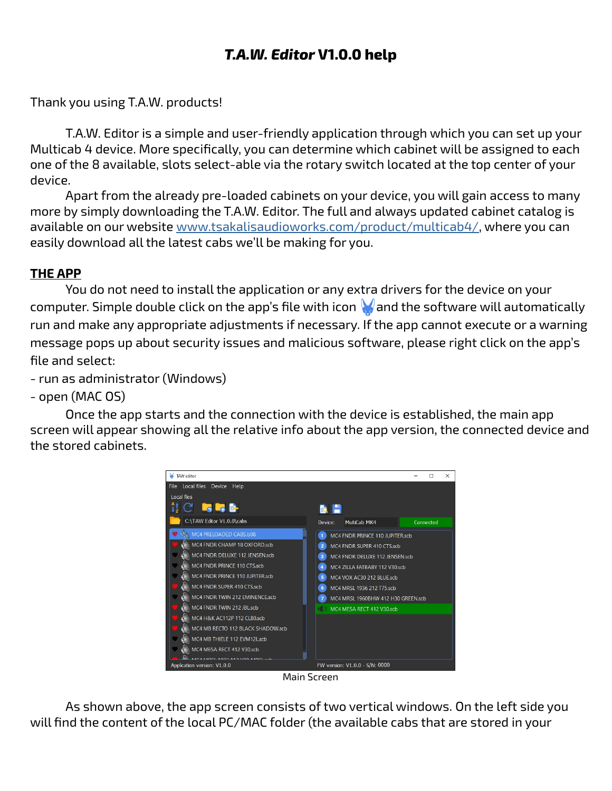# *T.A.W. Editor* **V1.0.0 help**

Thank you using T.A.W. products!

T.A.W. Editor is a simple and user-friendly application through which you can set up your Multicab 4 device. More specifically, you can determine which cabinet will be assigned to each one of the 8 available, slots select-able via the rotary switch located at the top center of your device.

Apart from the already pre-loaded cabinets on your device, you will gain access to many more by simply downloading the T.A.W. Editor. The full and always updated cabinet catalog is available on our website [www.tsakalisaudioworks.com/product/multicab4/](http://www.tsakalisaudioworks.com/product/multicab4/), where you can easily download all the latest cabs we'll be making for you.

### **THE APP**

You do not need to install the application or any extra drivers for the device on your computer. Simple double click on the app's file with icon  $\blacklozenge$  and the software will automatically run and make any appropriate adjustments if necessary. If the app cannot execute or a warning message pops up about security issues and malicious software, please right click on the app's file and select:

- run as administrator (Windows)
- open (MAC OS)

Once the app starts and the connection with the device is established, the main app screen will appear showing all the relative info about the app version, the connected device and the stored cabinets.



Main Screen

As shown above, the app screen consists of two vertical windows. On the left side you will find the content of the local PC/MAC folder (the available cabs that are stored in your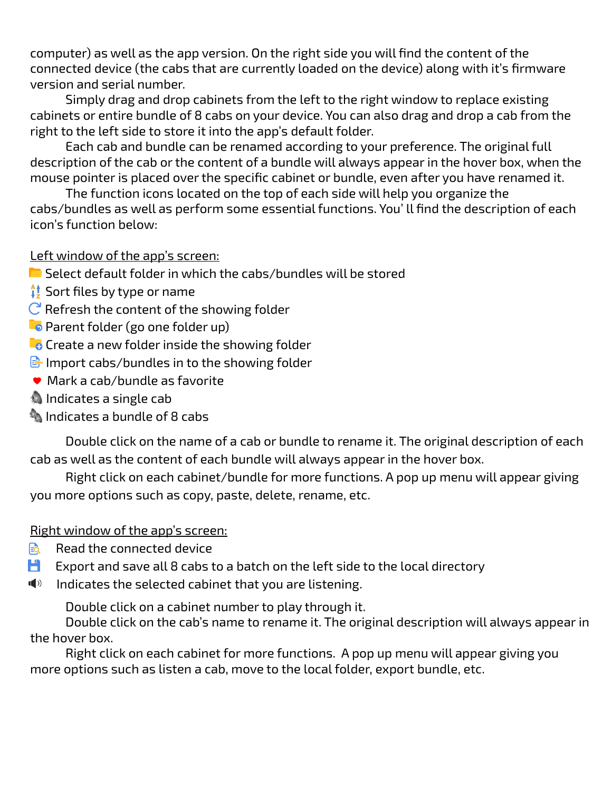computer) as well as the app version. On the right side you will find the content of the connected device (the cabs that are currently loaded on the device) along with it's firmware version and serial number.

Simply drag and drop cabinets from the left to the right window to replace existing cabinets or entire bundle of 8 cabs on your device. You can also drag and drop a cab from the right to the left side to store it into the app's default folder.

Each cab and bundle can be renamed according to your preference. The original full description of the cab or the content of a bundle will always appear in the hover box, when the mouse pointer is placed over the specific cabinet or bundle, even after you have renamed it.

The function icons located on the top of each side will help you organize the cabs/bundles as well as perform some essential functions. You' ll find the description of each icon's function below:

### Left window of the app's screen:

- $\blacksquare$  Select default folder in which the cabs/bundles will be stored
- $\frac{1}{2}$  Sort files by type or name
- $C$  Refresh the content of the showing folder
- **P** Parent folder (go one folder up)
- $\mathbb{C}_{\mathbf{C}}$  Create a new folder inside the showing folder
- $\mathbb B$  Import cabs/bundles in to the showing folder
- Mark a cab/bundle as favorite
- **Indicates a single cab**
- $\blacksquare$  Indicates a bundle of 8 cabs

Double click on the name of a cab or bundle to rename it. The original description of each cab as well as the content of each bundle will always appear in the hover box.

Right click on each cabinet/bundle for more functions. A pop up menu will appear giving you more options such as copy, paste, delete, rename, etc.

## Right window of the app's screen:

- **Read the connected device**
- $\Box$  Export and save all 8 cabs to a batch on the left side to the local directory
- $\blacksquare$  Indicates the selected cabinet that you are listening.

Double click on a cabinet number to play through it.

Double click on the cab's name to rename it. The original description will always appear in the hover box.

Right click on each cabinet for more functions. A pop up menu will appear giving you more options such as listen a cab, move to the local folder, export bundle, etc.